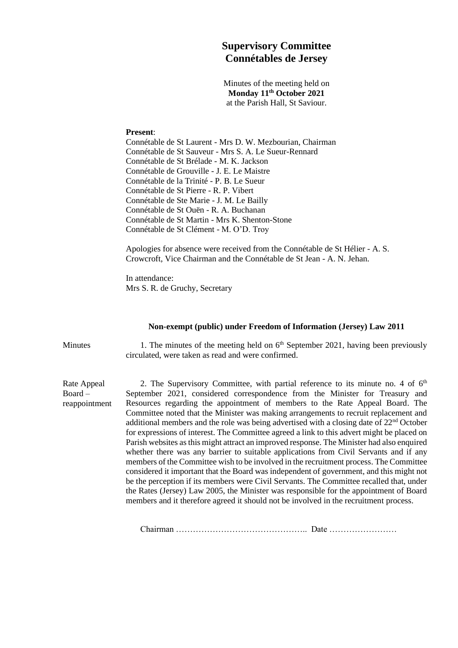## **Supervisory Committee Connétables de Jersey**

Minutes of the meeting held on **Monday 11th October 2021** at the Parish Hall, St Saviour.

## **Present**:

Connétable de St Laurent - Mrs D. W. Mezbourian, Chairman Connétable de St Sauveur - Mrs S. A. Le Sueur-Rennard Connétable de St Brélade - M. K. Jackson Connétable de Grouville - J. E. Le Maistre Connétable de la Trinité - P. B. Le Sueur Connétable de St Pierre - R. P. Vibert Connétable de Ste Marie - J. M. Le Bailly Connétable de St Ouën - R. A. Buchanan Connétable de St Martin - Mrs K. Shenton-Stone Connétable de St Clément - M. O'D. Troy

Apologies for absence were received from the Connétable de St Hélier - A. S. Crowcroft, Vice Chairman and the Connétable de St Jean - A. N. Jehan.

In attendance: Mrs S. R. de Gruchy, Secretary

## **Non-exempt (public) under Freedom of Information (Jersey) Law 2011**

Minutes 1. The minutes of the meeting held on  $6<sup>th</sup>$  September 2021, having been previously circulated, were taken as read and were confirmed.

Rate Appeal Board – reappointment

2. The Supervisory Committee, with partial reference to its minute no. 4 of  $6<sup>th</sup>$ September 2021, considered correspondence from the Minister for Treasury and Resources regarding the appointment of members to the Rate Appeal Board. The Committee noted that the Minister was making arrangements to recruit replacement and additional members and the role was being advertised with a closing date of  $22<sup>nd</sup>$  October for expressions of interest. The Committee agreed a link to this advert might be placed on Parish websites as this might attract an improved response. The Minister had also enquired whether there was any barrier to suitable applications from Civil Servants and if any members of the Committee wish to be involved in the recruitment process. The Committee considered it important that the Board was independent of government, and this might not be the perception if its members were Civil Servants. The Committee recalled that, under the Rates (Jersey) Law 2005, the Minister was responsible for the appointment of Board members and it therefore agreed it should not be involved in the recruitment process.

Chairman ……………………………………….. Date ……………………